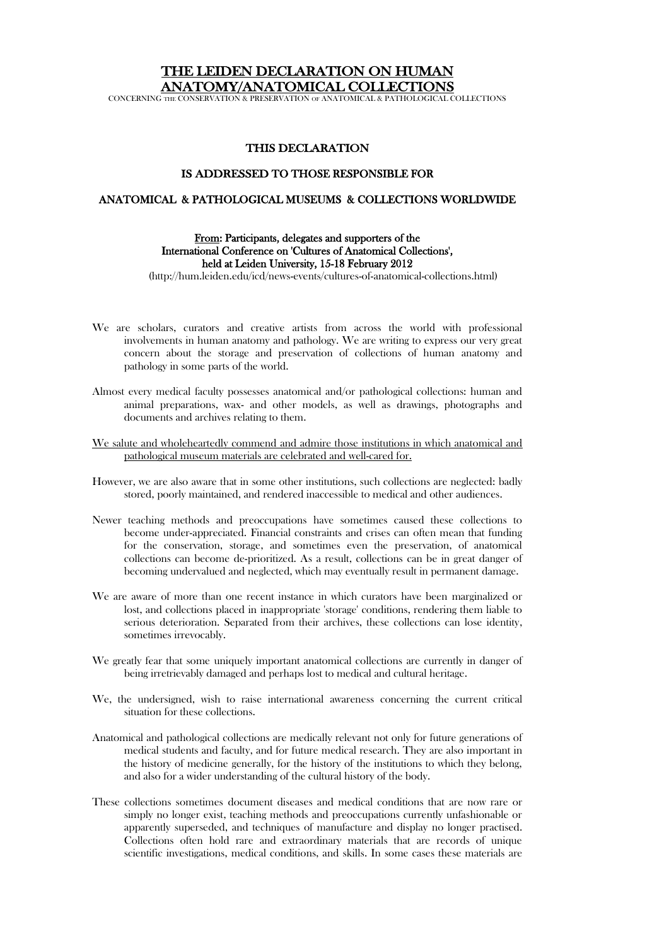# THE LEIDEN DECLARATION ON HUMAN ANATOMY/ANATOMICAL COLLECTIONS

CONCERNING THE CONSERVATION & PRESERVATION OF ANATOMICAL & PATHOLOGICAL COLLECTIONS

### THIS DECLARATION

#### IS ADDRESSED TO THOSE RESPONSIBLE FOR

#### ANATOMICAL & PATHOLOGICAL MUSEUMS & COLLECTIONS WORLDWIDE

## From: Participants, delegates and supporters of the International Conference on 'Cultures of Anatomical Collections', held at Leiden University, 15-18 February 2012

(http://hum.leiden.edu/icd/news-events/cultures-of-anatomical-collections.html)

- We are scholars, curators and creative artists from across the world with professional involvements in human anatomy and pathology. We are writing to express our very great concern about the storage and preservation of collections of human anatomy and pathology in some parts of the world.
- Almost every medical faculty possesses anatomical and/or pathological collections: human and animal preparations, wax- and other models, as well as drawings, photographs and documents and archives relating to them.
- We salute and wholeheartedly commend and admire those institutions in which anatomical and pathological museum materials are celebrated and well-cared for.
- However, we are also aware that in some other institutions, such collections are neglected: badly stored, poorly maintained, and rendered inaccessible to medical and other audiences.
- Newer teaching methods and preoccupations have sometimes caused these collections to become under-appreciated. Financial constraints and crises can often mean that funding for the conservation, storage, and sometimes even the preservation, of anatomical collections can become de-prioritized. As a result, collections can be in great danger of becoming undervalued and neglected, which may eventually result in permanent damage.
- We are aware of more than one recent instance in which curators have been marginalized or lost, and collections placed in inappropriate 'storage' conditions, rendering them liable to serious deterioration. Separated from their archives, these collections can lose identity, sometimes irrevocably.
- We greatly fear that some uniquely important anatomical collections are currently in danger of being irretrievably damaged and perhaps lost to medical and cultural heritage.
- We, the undersigned, wish to raise international awareness concerning the current critical situation for these collections.
- Anatomical and pathological collections are medically relevant not only for future generations of medical students and faculty, and for future medical research. They are also important in the history of medicine generally, for the history of the institutions to which they belong, and also for a wider understanding of the cultural history of the body.
- These collections sometimes document diseases and medical conditions that are now rare or simply no longer exist, teaching methods and preoccupations currently unfashionable or apparently superseded, and techniques of manufacture and display no longer practised. Collections often hold rare and extraordinary materials that are records of unique scientific investigations, medical conditions, and skills. In some cases these materials are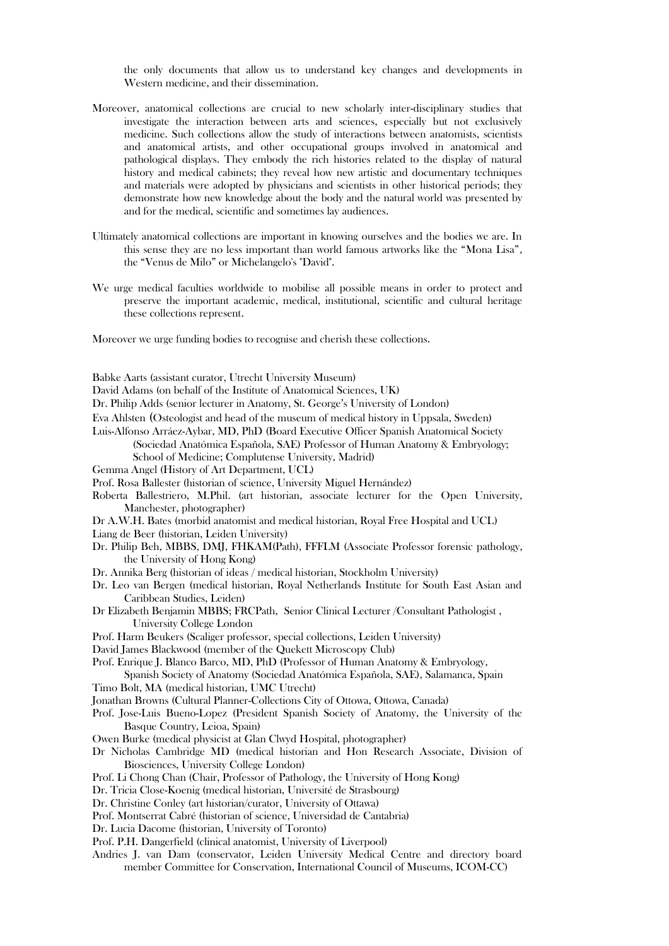the only documents that allow us to understand key changes and developments in Western medicine, and their dissemination.

- Moreover, anatomical collections are crucial to new scholarly inter-disciplinary studies that investigate the interaction between arts and sciences, especially but not exclusively medicine. Such collections allow the study of interactions between anatomists, scientists and anatomical artists, and other occupational groups involved in anatomical and pathological displays. They embody the rich histories related to the display of natural history and medical cabinets; they reveal how new artistic and documentary techniques and materials were adopted by physicians and scientists in other historical periods; they demonstrate how new knowledge about the body and the natural world was presented by and for the medical, scientific and sometimes lay audiences.
- Ultimately anatomical collections are important in knowing ourselves and the bodies we are. In this sense they are no less important than world famous artworks like the "Mona Lisa", the "Venus de Milo" or Michelangelo's "David".
- We urge medical faculties worldwide to mobilise all possible means in order to protect and preserve the important academic, medical, institutional, scientific and cultural heritage these collections represent.

Moreover we urge funding bodies to recognise and cherish these collections.

Babke Aarts (assistant curator, Utrecht University Museum)

David Adams (on behalf of the Institute of Anatomical Sciences, UK)

Dr. Philip Adds (senior lecturer in Anatomy, St. George's University of London)

Eva Ahlsten (Osteologist and head of the museum of medical history in Uppsala, Sweden)

- Luis-Alfonso Arráez-Aybar, MD, PhD (Board Executive Officer Spanish Anatomical Society (Sociedad Anatómica Española, SAE) Professor of Human Anatomy & Embryology; School of Medicine; Complutense University, Madrid)
- Gemma Angel (History of Art Department, UCL)
- Prof. Rosa Ballester (historian of science, University Miguel Hernández)
- Roberta Ballestriero, M.Phil. (art historian, associate lecturer for the Open University, Manchester, photographer)
- Dr A.W.H. Bates (morbid anatomist and medical historian, Royal Free Hospital and UCL)
- Liang de Beer (historian, Leiden University)
- Dr. Philip Beh, MBBS, DMJ, FHKAM(Path), FFFLM (Associate Professor forensic pathology, the University of Hong Kong)
- Dr. Annika Berg (historian of ideas / medical historian, Stockholm University)
- Dr. Leo van Bergen (medical historian, Royal Netherlands Institute for South East Asian and Caribbean Studies, Leiden)
- Dr Elizabeth Benjamin MBBS; FRCPath, Senior Clinical Lecturer /Consultant Pathologist , University College London
- Prof. Harm Beukers (Scaliger professor, special collections, Leiden University)
- David James Blackwood (member of the Quekett Microscopy Club)
- Prof. Enrique J. Blanco Barco, MD, PhD (Professor of Human Anatomy & Embryology,

Spanish Society of Anatomy (Sociedad Anatómica Española, SAE), Salamanca, Spain Timo Bolt, MA (medical historian, UMC Utrecht)

- Jonathan Browns (Cultural Planner-Collections City of Ottowa, Ottowa, Canada)
- Prof. Jose-Luis Bueno-Lopez (President Spanish Society of Anatomy, the University of the Basque Country, Leioa, Spain)
- Owen Burke (medical physicist at Glan Clwyd Hospital, photographer)
- Dr Nicholas Cambridge MD (medical historian and Hon Research Associate, Division of Biosciences, University College London)
- Prof. Li Chong Chan (Chair, Professor of Pathology, the University of Hong Kong)
- Dr. Tricia Close-Koenig (medical historian, Université de Strasbourg)
- Dr. Christine Conley (art historian/curator, University of Ottawa)
- Prof. Montserrat Cabré (historian of science, Universidad de Cantabria)
- Dr. Lucia Dacome (historian, University of Toronto)
- Prof. P.H. Dangerfield (clinical anatomist, University of Liverpool)
- Andries J. van Dam (conservator, Leiden University Medical Centre and directory board member Committee for Conservation, International Council of Museums, ICOM-CC)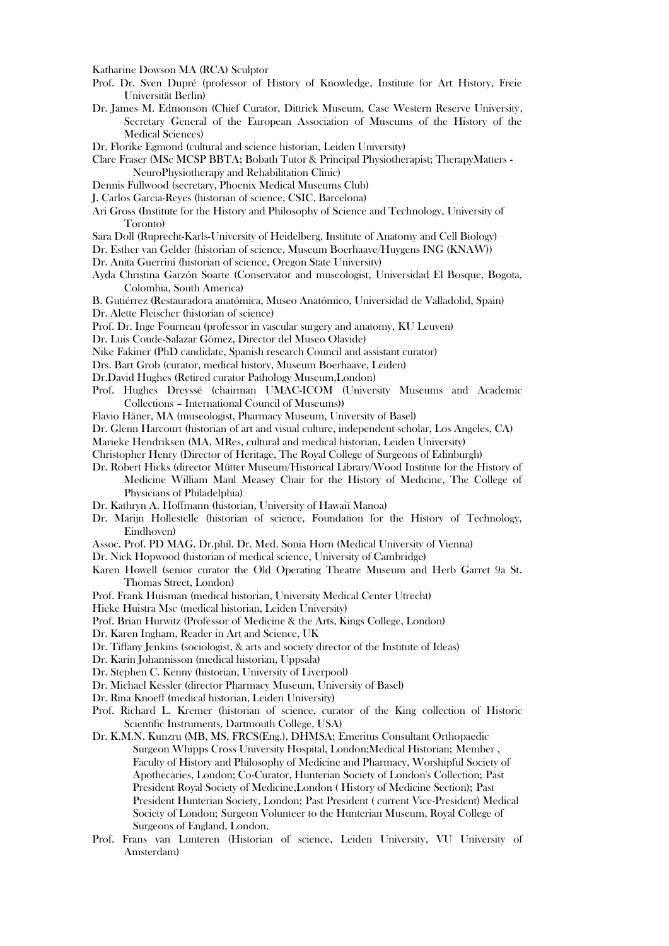Katharine Dowson MA (RCA) Sculptor

- Prof. Dr. Sven Dupré (professor of History of Knowledge, Institute for Art History, Freie Universität Berlin)
- Dr. James M. Edmonson (Chief Curator, Dittrick Museum, Case Western Reserve University, Secretary General of the European Association of Museums of the History of the Medical Sciences)
- Dr. Florike Egmond (cultural and science historian, Leiden University)
- Clare Fraser (MSc MCSP BBTA; Bobath Tutor & Principal Physiotherapist; TherapyMatters NeuroPhysiotherapy and Rehabilitation Clinic)
- Dennis Fullwood (secretary, Phoenix Medical Museums Club)
- J. Carlos Garcia-Reyes (historian of science, CSIC, Barcelona)
- Ari Gross (Institute for the History and Philosophy of Science and Technology, University of Toronto)
- Sara Doll (Ruprecht-Karls-University of Heidelberg, Institute of Anatomy and Cell Biology)
- Dr. Esther van Gelder (historian of science, Museum Boerhaave/Huygens ING (KNAW))
- Dr. Anita Guerrini (historian of science, Oregon State University)
- Ayda Christina Garzón Soarte (Conservator and museologist, Universidad El Bosque, Bogota, Colombia, South America)

B. Gutiérrez (Restauradora anatómica, Museo Anatómico, Universidad de Valladolid, Spain) Dr. Alette Fleischer (historian of science)

Prof. Dr. Inge Fourneau (professor in vascular surgery and anatomy, KU Leuven)

- Dr. Luis Conde-Salazar Gómez, Director del Museo Olavide)
- Nike Fakiner (PhD candidate, Spanish research Council and assistant curator)
- Drs. Bart Grob (curator, medical history, Museum Boerhaave, Leiden)
- Dr.David Hughes (Retired curator Pathology Museum,London)
- Prof. Hughes Dreyssé (chairman UMAC-ICOM (University Museums and Academic Collections – International Council of Museums))

Flavio Häner, MA (museologist, Pharmacy Museum, University of Basel)

- Dr. Glenn Harcourt (historian of art and visual culture, independent scholar, Los Angeles, CA)
- Marieke Hendriksen (MA, MRes, cultural and medical historian, Leiden University)
- Christopher Henry (Director of Heritage, The Royal College of Surgeons of Edinburgh)
- Dr. Robert Hicks (director Mütter Museum/Historical Library/Wood Institute for the History of Medicine William Maul Measey Chair for the History of Medicine, The College of Physicians of Philadelphia)
- Dr. Kathryn A. Hoffmann (historian, University of Hawaiï Manoa)
- Dr. Marijn Hollestelle (historian of science, Foundation for the History of Technology, Eindhoven)
- Assoc. Prof. PD MAG. Dr.phil. Dr. Med. Sonia Horn (Medical University of Vienna)
- Dr. Nick Hopwood (historian of medical science, University of Cambridge)
- Karen Howell (senior curator the Old Operating Theatre Museum and Herb Garret 9a St. Thomas Street, London)
- Prof. Frank Huisman (medical historian, University Medical Center Utrecht)
- Hieke Huistra Msc (medical historian, Leiden University)
- Prof. Brian Hurwitz (Professor of Medicine & the Arts, Kings College, London)
- Dr. Karen Ingham, Reader in Art and Science, UK
- Dr. Tiffany Jenkins (sociologist, & arts and society director of the Institute of Ideas)
- Dr. Karin Johannisson (medical historian, Uppsala)
- Dr. Stephen C. Kenny (historian, University of Liverpool)
- Dr. Michael Kessler (director Pharmacy Museum, University of Basel)
- Dr. Rina Knoeff (medical historian, Leiden University)
- Prof. Richard L. Kremer (historian of science, curator of the King collection of Historic Scientific Instruments, Dartmouth College, USA)
- Dr. K.M.N. Kunzru (MB, MS, FRCS(Eng.), DHMSA; Emeritus Consultant Orthopaedic Surgeon Whipps Cross University Hospital, London;Medical Historian; Member , Faculty of History and Philosophy of Medicine and Pharmacy, Worshipful Society of Apothecaries, London; Co-Curator, Hunterian Society of London's Collection; Past President Royal Society of Medicine,London ( History of Medicine Section); Past President Hunterian Society, London; Past President ( current Vice-President) Medical Society of London; Surgeon Volunteer to the Hunterian Museum, Royal College of Surgeons of England, London.
- Prof. Frans van Lunteren (Historian of science, Leiden University, VU University of Amsterdam)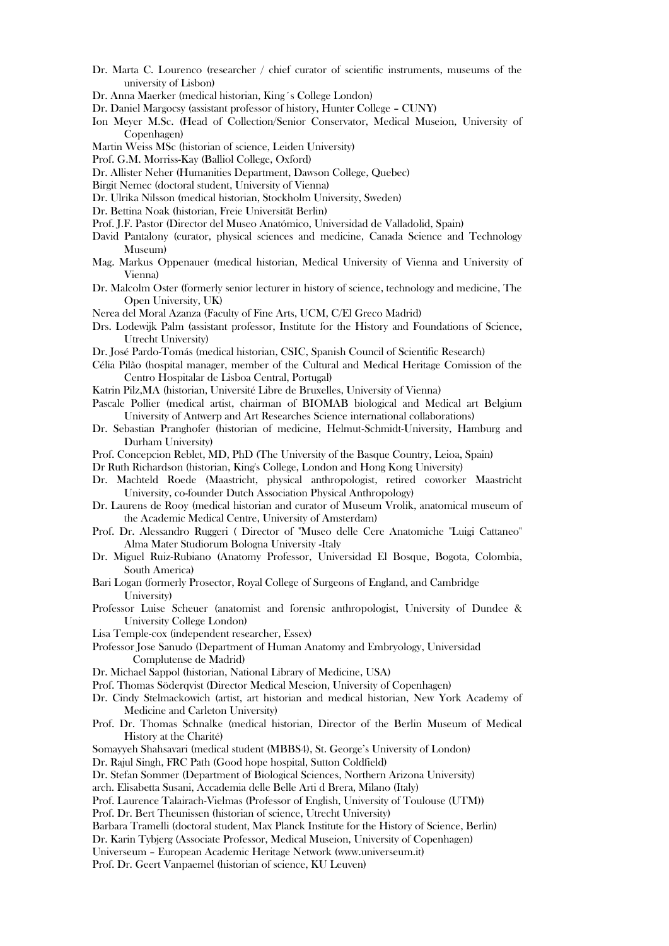- Dr. Marta C. Lourenco (researcher / chief curator of scientific instruments, museums of the university of Lisbon)
- Dr. Anna Maerker (medical historian, King´s College London)
- Dr. Daniel Margocsy (assistant professor of history, Hunter College CUNY)
- Ion Meyer M.Sc. (Head of Collection/Senior Conservator, Medical Museion, University of Copenhagen)
- Martin Weiss MSc (historian of science, Leiden University)
- Prof. G.M. Morriss-Kay (Balliol College, Oxford)
- Dr. Allister Neher (Humanities Department, Dawson College, Quebec)
- Birgit Nemec (doctoral student, University of Vienna)
- Dr. Ulrika Nilsson (medical historian, Stockholm University, Sweden)
- Dr. Bettina Noak (historian, Freie Universität Berlin)
- Prof. J.F. Pastor (Director del Museo Anatómico, Universidad de Valladolid, Spain)
- David Pantalony (curator, physical sciences and medicine, Canada Science and Technology Museum)
- Mag. Markus Oppenauer (medical historian, Medical University of Vienna and University of Vienna)
- Dr. Malcolm Oster (formerly senior lecturer in history of science, technology and medicine, The Open University, UK)
- Nerea del Moral Azanza (Faculty of Fine Arts, UCM, C/El Greco Madrid)
- Drs. Lodewijk Palm (assistant professor, Institute for the History and Foundations of Science, Utrecht University)
- Dr. José Pardo-Tomás (medical historian, CSIC, Spanish Council of Scientific Research)
- Célia Pilão (hospital manager, member of the Cultural and Medical Heritage Comission of the Centro Hospitalar de Lisboa Central, Portugal)
- Katrin Pilz,MA (historian, Université Libre de Bruxelles, University of Vienna)
- Pascale Pollier (medical artist, chairman of BIOMAB biological and Medical art Belgium University of Antwerp and Art Researches Science international collaborations)
- Dr. Sebastian Pranghofer (historian of medicine, Helmut-Schmidt-University, Hamburg and Durham University)
- Prof. Concepcion Reblet, MD, PhD (The University of the Basque Country, Leioa, Spain)
- Dr Ruth Richardson (historian, King's College, London and Hong Kong University)
- Dr. Machteld Roede (Maastricht, physical anthropologist, retired coworker Maastricht University, co-founder Dutch Association Physical Anthropology)
- Dr. Laurens de Rooy (medical historian and curator of Museum Vrolik, anatomical museum of the Academic Medical Centre, University of Amsterdam)
- Prof. Dr. Alessandro Ruggeri ( Director of "Museo delle Cere Anatomiche "Luigi Cattaneo" Alma Mater Studiorum Bologna University -Italy
- Dr. Miguel Ruiz-Rubiano (Anatomy Professor, Universidad El Bosque, Bogota, Colombia, South America)
- Bari Logan (formerly Prosector, Royal College of Surgeons of England, and Cambridge University)
- Professor Luise Scheuer (anatomist and forensic anthropologist, University of Dundee & University College London)
- Lisa Temple-cox (independent researcher, Essex)
- Professor Jose Sanudo (Department of Human Anatomy and Embryology, Universidad Complutense de Madrid)
- Dr. Michael Sappol (historian, National Library of Medicine, USA)
- Prof. Thomas Söderqvist (Director Medical Meseion, University of Copenhagen)
- Dr. Cindy Stelmackowich (artist, art historian and medical historian, New York Academy of Medicine and Carleton University)
- Prof. Dr. Thomas Schnalke (medical historian, Director of the Berlin Museum of Medical History at the Charité)
- Somayyeh Shahsavari (medical student (MBBS4), St. George's University of London)
- Dr. Rajul Singh, FRC Path (Good hope hospital, Sutton Coldfield)
- Dr. Stefan Sommer (Department of Biological Sciences, Northern Arizona University)
- arch. Elisabetta Susani, Accademia delle Belle Arti d Brera, Milano (Italy)
- Prof. Laurence Talairach-Vielmas (Professor of English, University of Toulouse (UTM))
- Prof. Dr. Bert Theunissen (historian of science, Utrecht University)
- Barbara Tramelli (doctoral student, Max Planck Institute for the History of Science, Berlin)
- Dr. Karin Tybjerg (Associate Professor, Medical Museion, University of Copenhagen)
- Universeum European Academic Heritage Network (www.universeum.it)
- Prof. Dr. Geert Vanpaemel (historian of science, KU Leuven)